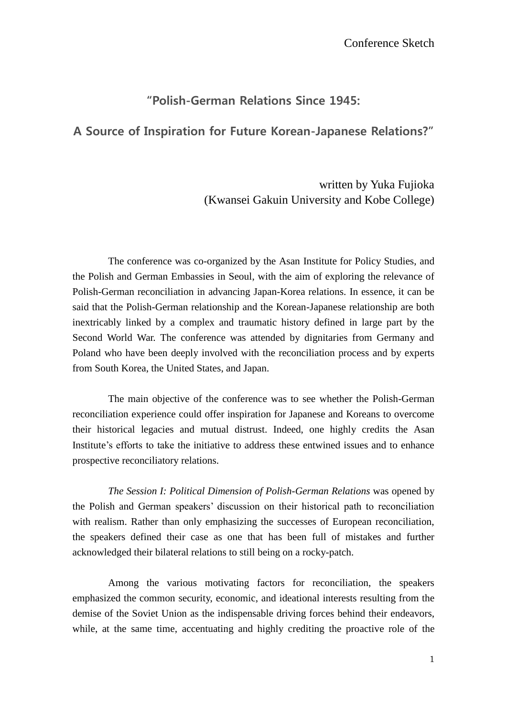## "Polish-German Relations Since 1945:

## A Source of Inspiration for Future Korean-Japanese Relations?"

## written by Yuka Fujioka (Kwansei Gakuin University and Kobe College)

The conference was co-organized by the Asan Institute for Policy Studies, and the Polish and German Embassies in Seoul, with the aim of exploring the relevance of Polish-German reconciliation in advancing Japan-Korea relations. In essence, it can be said that the Polish-German relationship and the Korean-Japanese relationship are both inextricably linked by a complex and traumatic history defined in large part by the Second World War. The conference was attended by dignitaries from Germany and Poland who have been deeply involved with the reconciliation process and by experts from South Korea, the United States, and Japan.

The main objective of the conference was to see whether the Polish-German reconciliation experience could offer inspiration for Japanese and Koreans to overcome their historical legacies and mutual distrust. Indeed, one highly credits the Asan Institute's efforts to take the initiative to address these entwined issues and to enhance prospective reconciliatory relations.

*The Session I: Political Dimension of Polish-German Relations* was opened by the Polish and German speakers" discussion on their historical path to reconciliation with realism. Rather than only emphasizing the successes of European reconciliation, the speakers defined their case as one that has been full of mistakes and further acknowledged their bilateral relations to still being on a rocky-patch.

Among the various motivating factors for reconciliation, the speakers emphasized the common security, economic, and ideational interests resulting from the demise of the Soviet Union as the indispensable driving forces behind their endeavors, while, at the same time, accentuating and highly crediting the proactive role of the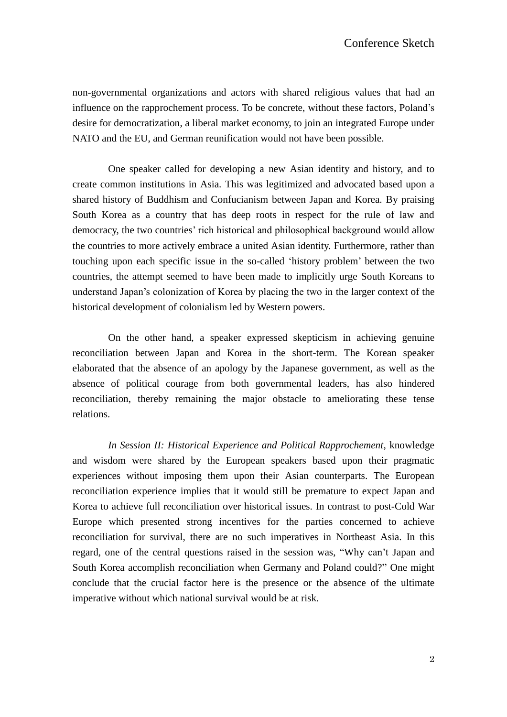non-governmental organizations and actors with shared religious values that had an influence on the rapprochement process. To be concrete, without these factors, Poland"s desire for democratization, a liberal market economy, to join an integrated Europe under NATO and the EU, and German reunification would not have been possible.

One speaker called for developing a new Asian identity and history, and to create common institutions in Asia. This was legitimized and advocated based upon a shared history of Buddhism and Confucianism between Japan and Korea. By praising South Korea as a country that has deep roots in respect for the rule of law and democracy, the two countries' rich historical and philosophical background would allow the countries to more actively embrace a united Asian identity. Furthermore, rather than touching upon each specific issue in the so-called "history problem" between the two countries, the attempt seemed to have been made to implicitly urge South Koreans to understand Japan"s colonization of Korea by placing the two in the larger context of the historical development of colonialism led by Western powers.

On the other hand, a speaker expressed skepticism in achieving genuine reconciliation between Japan and Korea in the short-term. The Korean speaker elaborated that the absence of an apology by the Japanese government, as well as the absence of political courage from both governmental leaders, has also hindered reconciliation, thereby remaining the major obstacle to ameliorating these tense relations.

*In Session II: Historical Experience and Political Rapprochement*, knowledge and wisdom were shared by the European speakers based upon their pragmatic experiences without imposing them upon their Asian counterparts. The European reconciliation experience implies that it would still be premature to expect Japan and Korea to achieve full reconciliation over historical issues. In contrast to post-Cold War Europe which presented strong incentives for the parties concerned to achieve reconciliation for survival, there are no such imperatives in Northeast Asia. In this regard, one of the central questions raised in the session was, "Why can"t Japan and South Korea accomplish reconciliation when Germany and Poland could?" One might conclude that the crucial factor here is the presence or the absence of the ultimate imperative without which national survival would be at risk.